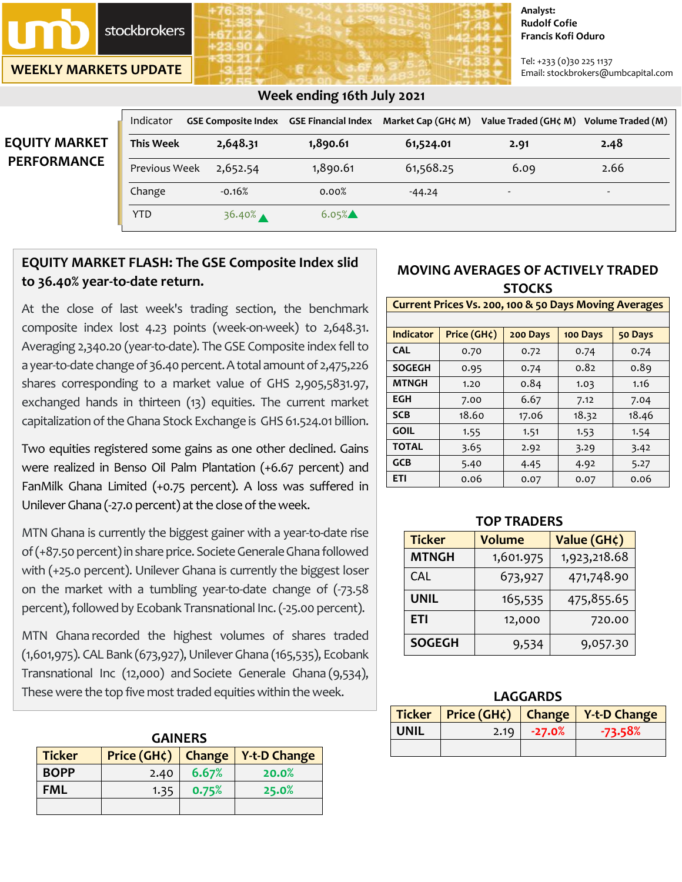**stockbrokers** 

**WEEKLY MARKETS UPDATE**

#### **Analyst: Rudolf Cofie Francis Kofi Oduro**

Tel: +233 (0)30 225 1137 Email: stockbrokers@umbcapital.com

# **EQUITY MARKE PERFORMANC**

## **Week ending 16th July 2021**

|   | Indicator        | GSE Composite Index GSE Financial Index Market Cap (GH¢ M) |          |           | Value Traded (GH¢ M) Volume Traded (M) |                          |
|---|------------------|------------------------------------------------------------|----------|-----------|----------------------------------------|--------------------------|
|   | <b>This Week</b> | 2,648.31                                                   | 1,890.61 | 61,524.01 | 2.91                                   | 2.48                     |
| E | Previous Week    | 2,652.54                                                   | 1,890.61 | 61,568.25 | 6.09                                   | 2.66                     |
|   | Change           | $-0.16%$                                                   | 0.00%    | $-44.24$  | $\overline{\phantom{a}}$               | $\overline{\phantom{0}}$ |
|   | YTD              | $36.40%$ $\triangle$                                       | $6.05\%$ |           |                                        |                          |

## **EQUITY MARKET FLASH: The GSE Composite Index slid to 36.40% year-to-date return.**

At the close of last week's trading section, the benchmark composite index lost 4.23 points (week-on-week) to 2,648.31. Averaging 2,340.20 (year-to-date). The GSE Composite index fell to a year-to-date change of 36.40 percent. A total amount of 2,475,226 shares corresponding to a market value of GHS 2,905,5831.97, exchanged hands in thirteen (13) equities. The current market capitalization of the Ghana Stock Exchange is GHS 61.524.01 billion.

Two equities registered some gains as one other declined. Gains were realized in Benso Oil Palm Plantation (+6.67 percent) and FanMilk Ghana Limited (+0.75 percent). A loss was suffered in Unilever Ghana (-27.0 percent) at the close of the week.

MTN Ghana is currently the biggest gainer with a year-to-date rise of (+87.50 percent) in share price. Societe Generale Ghana followed with (+25.0 percent). Unilever Ghana is currently the biggest loser on the market with a tumbling year-to-date change of (-73.58 percent), followed by Ecobank Transnational Inc. (-25.00 percent).

MTN Ghana recorded the highest volumes of shares traded (1,601,975). CAL Bank (673,927),Unilever Ghana (165,535), Ecobank Transnational Inc (12,000) and Societe Generale Ghana (9,534), These were the top five most traded equities within the week.

| <b>GAINERS</b>                                                |      |       |       |  |  |  |
|---------------------------------------------------------------|------|-------|-------|--|--|--|
| Price (GH¢)<br><b>Ticker</b><br><b>Y-t-D Change</b><br>Change |      |       |       |  |  |  |
| <b>BOPP</b>                                                   | 2.40 | 6.67% | 20.0% |  |  |  |
| <b>FML</b>                                                    | 1.35 | 0.75% | 25.0% |  |  |  |
|                                                               |      |       |       |  |  |  |

## **MOVING AVERAGES OF ACTIVELY TRADED STOCKS**

#### **Current Prices Vs. 200, 100 & 50 Days Moving Averages**

| <b>Indicator</b> | Price (GH¢) | 200 Days | 100 Days | 50 Days |
|------------------|-------------|----------|----------|---------|
| <b>CAL</b>       | 0.70        | 0.72     | 0.74     | 0.74    |
| <b>SOGEGH</b>    | 0.95        | 0.74     | 0.82     | 0.89    |
| <b>MTNGH</b>     | 1.20        | 0.84     | 1.03     | 1.16    |
| <b>EGH</b>       | 7.00        | 6.67     | 7.12     | 7.04    |
| <b>SCB</b>       | 18.60       | 17.06    | 18.32    | 18.46   |
| <b>GOIL</b>      | 1.55        | 1.51     | 1.53     | 1.54    |
| <b>TOTAL</b>     | 3.65        | 2.92     | 3.29     | 3.42    |
| <b>GCB</b>       | 5.40        | 4.45     | 4.92     | 5.27    |
| <b>ETI</b>       | 0.06        | 0.07     | 0.07     | 0.06    |

| IUP IKAULKS   |               |              |  |  |  |
|---------------|---------------|--------------|--|--|--|
| <b>Ticker</b> | <b>Volume</b> | Value (GH¢)  |  |  |  |
| <b>MTNGH</b>  | 1,601.975     | 1,923,218.68 |  |  |  |
| <b>CAL</b>    | 673,927       | 471,748.90   |  |  |  |
| <b>UNIL</b>   | 165,535       | 475,855.65   |  |  |  |
| <b>ETI</b>    | 12,000        | 720.00       |  |  |  |
| <b>SOGEGH</b> | 9,534         | 9,057.30     |  |  |  |

#### **TOP TRADERS**

| LAGGARDS    |                   |          |                                              |  |  |  |
|-------------|-------------------|----------|----------------------------------------------|--|--|--|
|             |                   |          | Ticker   Price (GH¢)   Change   Y-t-D Change |  |  |  |
| <b>UNIL</b> | 2.19 <sub>1</sub> | $-27.0%$ | $-73.58\%$                                   |  |  |  |
|             |                   |          |                                              |  |  |  |

**LAGGARDS**